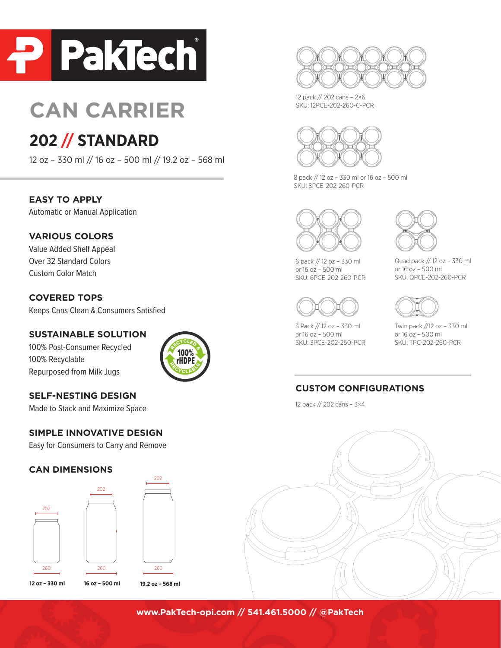

# **CAN CARRIER**

# **202 // STANDARD**

12 oz – 330 ml // 16 oz – 500 ml // 19.2 oz – 568 ml

**EASY TO APPLY**

Automatic or Manual Application

#### **VARIOUS COLORS**

Value Added Shelf Appeal Over 32 Standard Colors Custom Color Match

#### **COVERED TOPS**

Keeps Cans Clean & Consumers Satisfied

#### **SUSTAINABLE SOLUTION**

100% Post-Consumer Recycled 100% Recyclable Repurposed from Milk Jugs



## **SELF-NESTING DESIGN**

Made to Stack and Maximize Space

#### **SIMPLE INNOVATIVE DESIGN**

Easy for Consumers to Carry and Remove

#### **CAN DIMENSIONS**





12 pack // 202 cans – 2×6 SKU: 12PCE-202-260-C-PCR



8 pack // 12 oz – 330 ml or 16 oz – 500 ml SKU: 8PCE-202-260-PCR



6 pack // 12 oz – 330 ml or 16 oz – 500 ml SKU: 6PCE-202-260-PCR



3 Pack // 12 oz – 330 ml or 16 oz – 500 ml SKU: 3PCE-202-260-PCR



Quad pack // 12 oz – 330 ml or 16 oz – 500 ml SKU: QPCE-202-260-PCR



Twin pack //12 oz – 330 ml or 16 oz – 500 ml SKU: TPC-202-260-PCR

## **CUSTOM CONFIGURATIONS**

12 pack // 202 cans – 3×4



**www.PakTech-opi.com // 541.461.5000 // @PakTech**